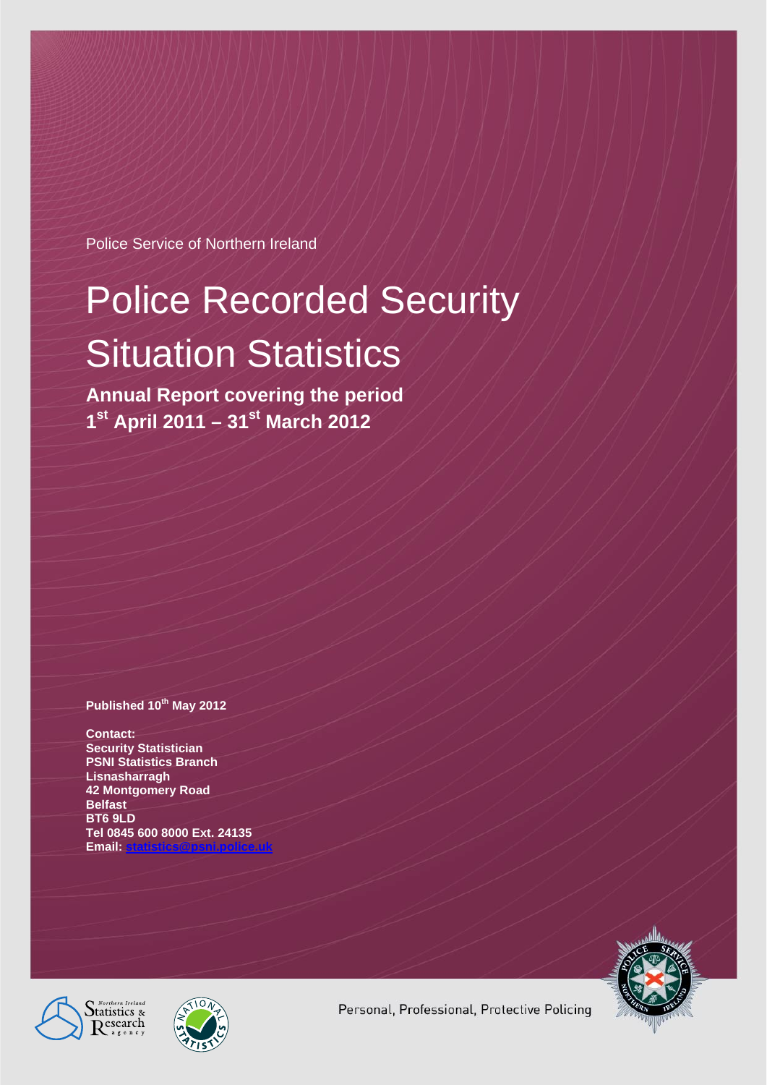Police Service of Northern Ireland

# Police Recorded Security Situation Statistics

**Annual Report covering the period 1st April 2011 – 31st March 2012** 

#### **Published 10th May 2012**

**Contact: Security Statistician PSNI Statistics Branch Lisnasharragh 42 Montgomery Road Belfast BT6 9LD Tel 0845 600 8000 Ext. 24135 Email:** 







Personal, Professional, Protective Policing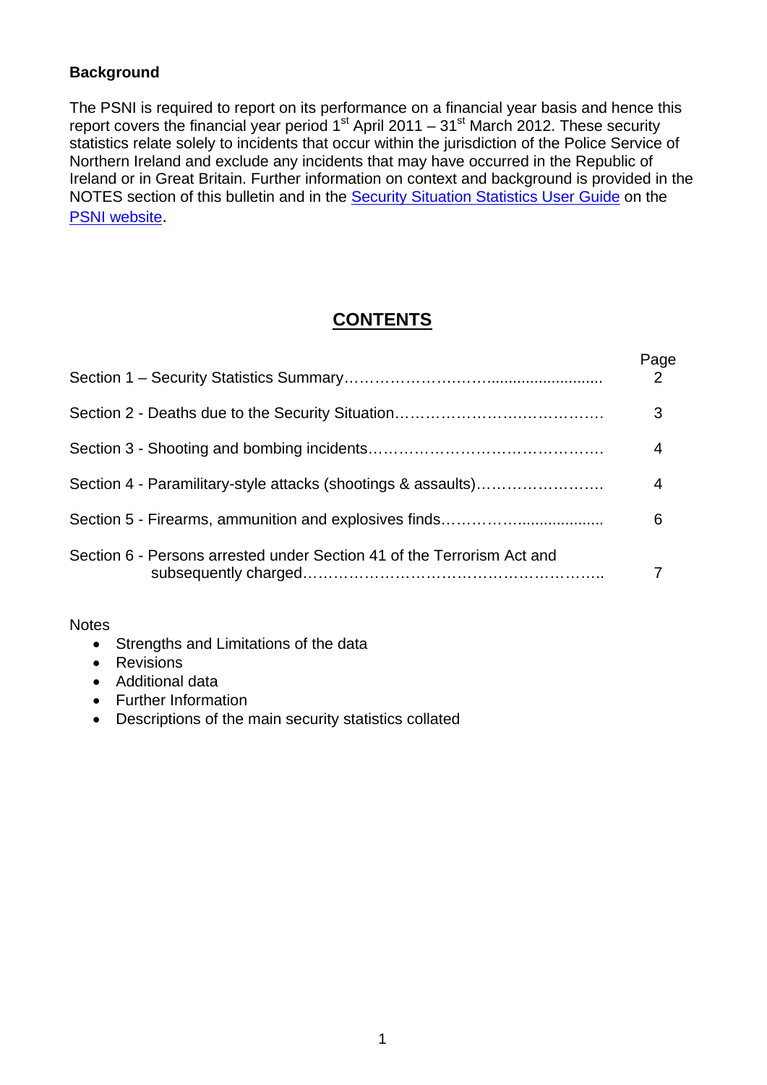## **Background**

The PSNI is required to report on its performance on a financial year basis and hence this report covers the financial year period  $1<sup>st</sup>$  April 2011 – 31<sup>st</sup> March 2012. These security statistics relate solely to incidents that occur within the jurisdiction of the Police Service of Northern Ireland and exclude any incidents that may have occurred in the Republic of Ireland or in Great Britain. Further information on context and background is provided in the NOTES section of this bulletin and in the Security Situation Statistics User Guide on the PSNI website.

## **CONTENTS**

|                                                                        | Page |
|------------------------------------------------------------------------|------|
|                                                                        | 3    |
|                                                                        | 4    |
| Section 4 - Paramilitary-style attacks (shootings & assaults)          | 4    |
| Section 5 - Firearms, ammunition and explosives finds                  | 6    |
| Section 6 - Persons arrested under Section 41 of the Terrorism Act and |      |

#### **Notes**

- Strengths and Limitations of the data
- **•** Revisions
- Additional data
- Further Information
- Descriptions of the main security statistics collated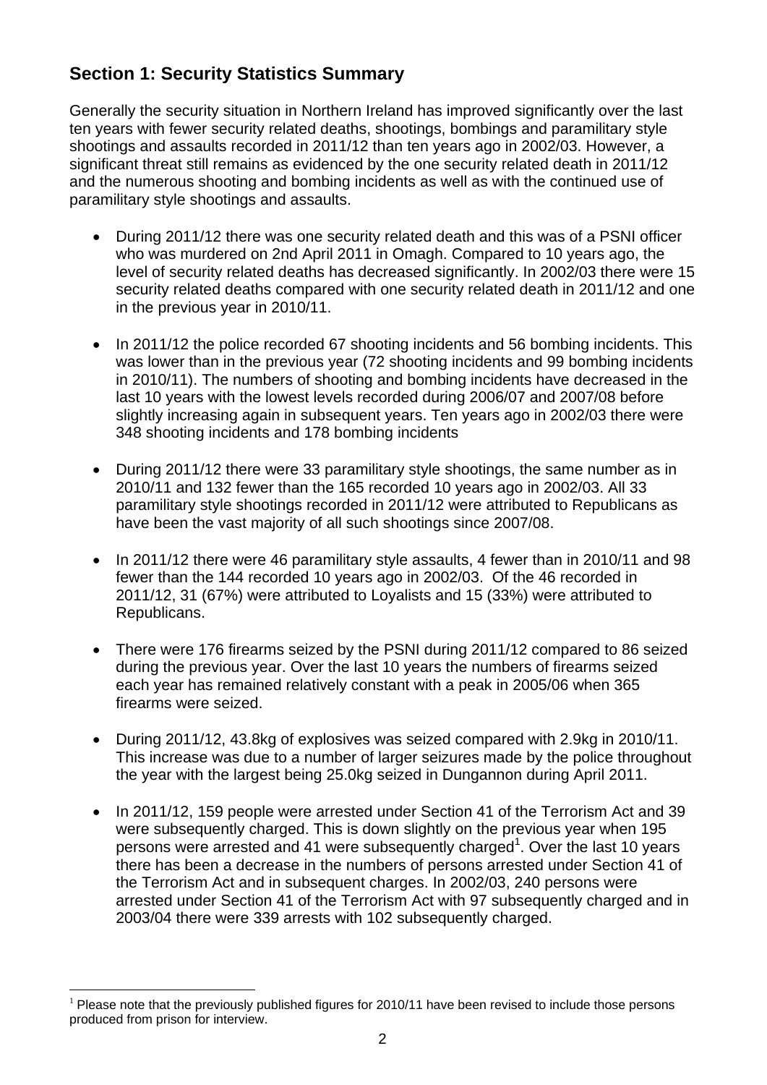# **Section 1: Security Statistics Summary**

Generally the security situation in Northern Ireland has improved significantly over the last ten years with fewer security related deaths, shootings, bombings and paramilitary style shootings and assaults recorded in 2011/12 than ten years ago in 2002/03. However, a significant threat still remains as evidenced by the one security related death in 2011/12 and the numerous shooting and bombing incidents as well as with the continued use of paramilitary style shootings and assaults.

- During 2011/12 there was one security related death and this was of a PSNI officer who was murdered on 2nd April 2011 in Omagh. Compared to 10 years ago, the level of security related deaths has decreased significantly. In 2002/03 there were 15 security related deaths compared with one security related death in 2011/12 and one in the previous year in 2010/11.
- In 2011/12 the police recorded 67 shooting incidents and 56 bombing incidents. This was lower than in the previous year (72 shooting incidents and 99 bombing incidents in 2010/11). The numbers of shooting and bombing incidents have decreased in the last 10 years with the lowest levels recorded during 2006/07 and 2007/08 before slightly increasing again in subsequent years. Ten years ago in 2002/03 there were 348 shooting incidents and 178 bombing incidents
- During 2011/12 there were 33 paramilitary style shootings, the same number as in 2010/11 and 132 fewer than the 165 recorded 10 years ago in 2002/03. All 33 paramilitary style shootings recorded in 2011/12 were attributed to Republicans as have been the vast majority of all such shootings since 2007/08.
- $\bullet$  In 2011/12 there were 46 paramilitary style assaults, 4 fewer than in 2010/11 and 98 fewer than the 144 recorded 10 years ago in 2002/03. Of the 46 recorded in 2011/12, 31 (67%) were attributed to Loyalists and 15 (33%) were attributed to Republicans.
- There were 176 firearms seized by the PSNI during 2011/12 compared to 86 seized during the previous year. Over the last 10 years the numbers of firearms seized each year has remained relatively constant with a peak in 2005/06 when 365 firearms were seized.
- During 2011/12, 43.8kg of explosives was seized compared with 2.9kg in 2010/11. This increase was due to a number of larger seizures made by the police throughout the year with the largest being 25.0kg seized in Dungannon during April 2011.
- In 2011/12, 159 people were arrested under Section 41 of the Terrorism Act and 39 were subsequently charged. This is down slightly on the previous year when 195 persons were arrested and 41 were subsequently charged<sup>1</sup>. Over the last 10 years there has been a decrease in the numbers of persons arrested under Section 41 of the Terrorism Act and in subsequent charges. In 2002/03, 240 persons were arrested under Section 41 of the Terrorism Act with 97 subsequently charged and in 2003/04 there were 339 arrests with 102 subsequently charged.

<sup>&</sup>lt;u>.</u>  $<sup>1</sup>$  Please note that the previously published figures for 2010/11 have been revised to include those persons</sup> produced from prison for interview.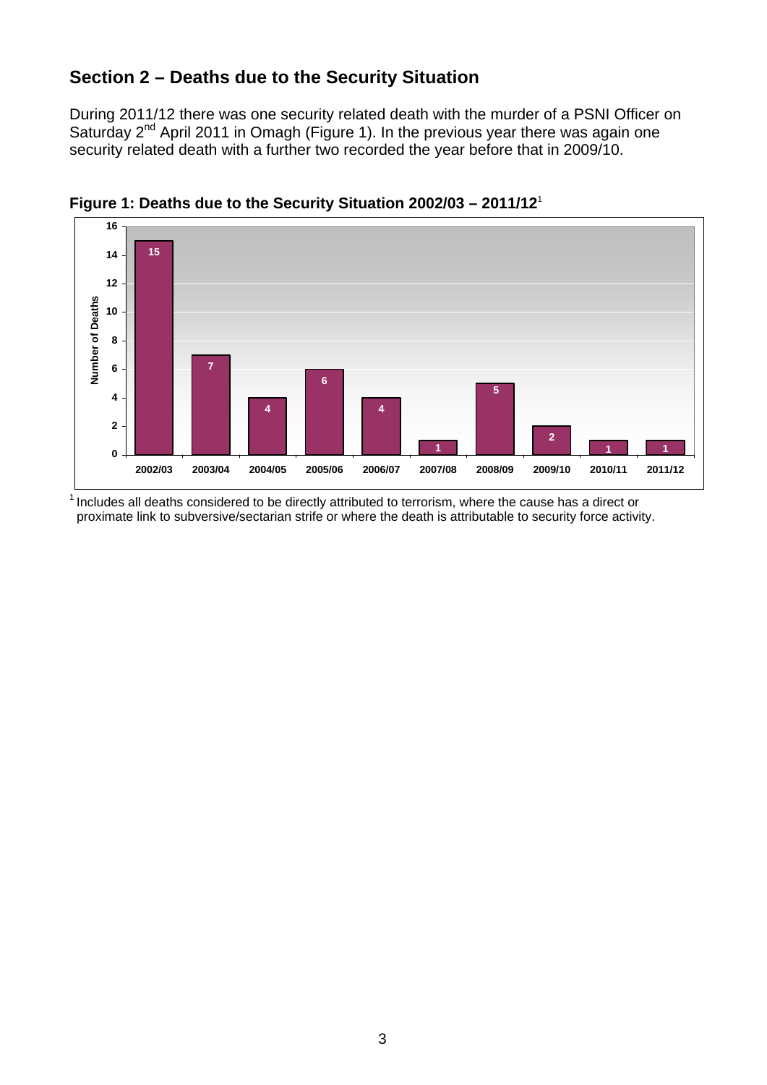## **Section 2 – Deaths due to the Security Situation**

During 2011/12 there was one security related death with the murder of a PSNI Officer on Saturday 2<sup>nd</sup> April 2011 in Omagh (Figure 1). In the previous year there was again one security related death with a further two recorded the year before that in 2009/10.



**Figure 1: Deaths due to the Security Situation 2002/03 – 2011/12**<sup>1</sup>

 $<sup>1</sup>$  Includes all deaths considered to be directly attributed to terrorism, where the cause has a direct or</sup> proximate link to subversive/sectarian strife or where the death is attributable to security force activity.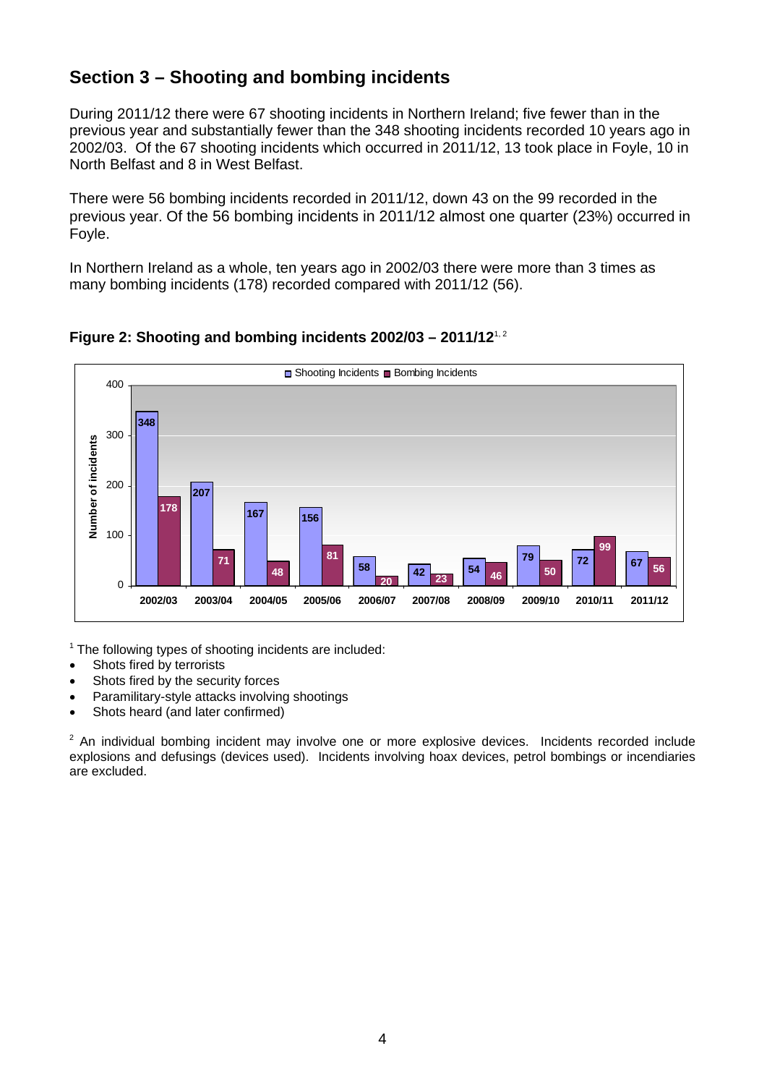## **Section 3 – Shooting and bombing incidents**

During 2011/12 there were 67 shooting incidents in Northern Ireland; five fewer than in the previous year and substantially fewer than the 348 shooting incidents recorded 10 years ago in 2002/03. Of the 67 shooting incidents which occurred in 2011/12, 13 took place in Foyle, 10 in North Belfast and 8 in West Belfast.

There were 56 bombing incidents recorded in 2011/12, down 43 on the 99 recorded in the previous year. Of the 56 bombing incidents in 2011/12 almost one quarter (23%) occurred in Foyle.

In Northern Ireland as a whole, ten years ago in 2002/03 there were more than 3 times as many bombing incidents (178) recorded compared with 2011/12 (56).



## **Figure 2: Shooting and bombing incidents 2002/03 – 2011/12**1, 2

 $1$  The following types of shooting incidents are included:

- Shots fired by terrorists
- Shots fired by the security forces
- Paramilitary-style attacks involving shootings
- Shots heard (and later confirmed)

 $2$  An individual bombing incident may involve one or more explosive devices. Incidents recorded include explosions and defusings (devices used). Incidents involving hoax devices, petrol bombings or incendiaries are excluded.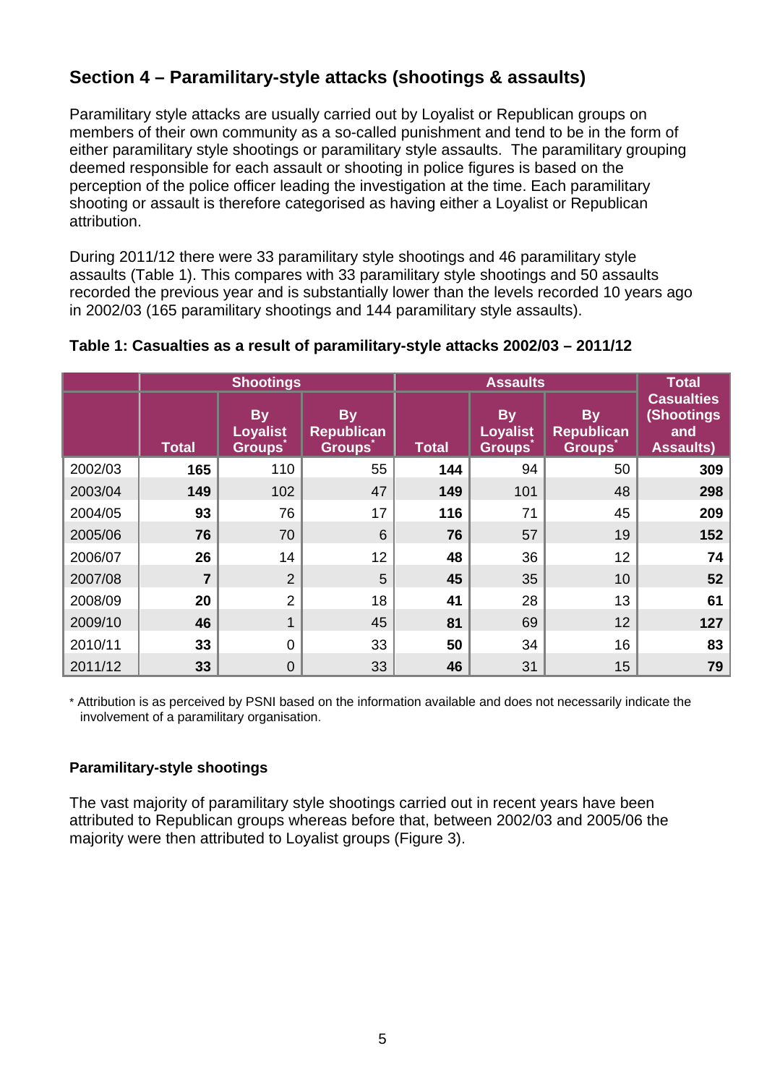# **Section 4 – Paramilitary-style attacks (shootings & assaults)**

Paramilitary style attacks are usually carried out by Loyalist or Republican groups on members of their own community as a so-called punishment and tend to be in the form of either paramilitary style shootings or paramilitary style assaults. The paramilitary grouping deemed responsible for each assault or shooting in police figures is based on the perception of the police officer leading the investigation at the time. Each paramilitary shooting or assault is therefore categorised as having either a Loyalist or Republican attribution.

During 2011/12 there were 33 paramilitary style shootings and 46 paramilitary style assaults (Table 1). This compares with 33 paramilitary style shootings and 50 assaults recorded the previous year and is substantially lower than the levels recorded 10 years ago in 2002/03 (165 paramilitary shootings and 144 paramilitary style assaults).

|         | <b>Shootings</b> |                                               | <b>Assaults</b>                                 |       |                                               | Total                                           |                                                                   |
|---------|------------------|-----------------------------------------------|-------------------------------------------------|-------|-----------------------------------------------|-------------------------------------------------|-------------------------------------------------------------------|
|         | <b>Total</b>     | <b>By</b><br><b>Loyalist</b><br><b>Groups</b> | <b>By</b><br><b>Republican</b><br><b>Groups</b> | Total | <b>By</b><br><b>Loyalist</b><br><b>Groups</b> | <b>By</b><br><b>Republican</b><br><b>Groups</b> | <b>Casualties</b><br><b>(Shootings</b><br>and<br><b>Assaults)</b> |
| 2002/03 | 165              | 110                                           | 55                                              | 144   | 94                                            | 50                                              | 309                                                               |
| 2003/04 | 149              | 102                                           | 47                                              | 149   | 101                                           | 48                                              | 298                                                               |
| 2004/05 | 93               | 76                                            | 17                                              | 116   | 71                                            | 45                                              | 209                                                               |
| 2005/06 | 76               | 70                                            | $6\phantom{1}6$                                 | 76    | 57                                            | 19                                              | 152                                                               |
| 2006/07 | 26               | 14                                            | 12                                              | 48    | 36                                            | 12                                              | 74                                                                |
| 2007/08 | $\overline{7}$   | $\overline{2}$                                | 5                                               | 45    | 35                                            | 10                                              | 52                                                                |
| 2008/09 | 20               | $\overline{2}$                                | 18                                              | 41    | 28                                            | 13                                              | 61                                                                |
| 2009/10 | 46               | 1                                             | 45                                              | 81    | 69                                            | 12                                              | 127                                                               |
| 2010/11 | 33               | $\mathbf 0$                                   | 33                                              | 50    | 34                                            | 16                                              | 83                                                                |
| 2011/12 | 33               | $\mathbf 0$                                   | 33                                              | 46    | 31                                            | 15                                              | 79                                                                |

## **Table 1: Casualties as a result of paramilitary-style attacks 2002/03 – 2011/12**

\* Attribution is as perceived by PSNI based on the information available and does not necessarily indicate the involvement of a paramilitary organisation.

## **Paramilitary-style shootings**

The vast majority of paramilitary style shootings carried out in recent years have been attributed to Republican groups whereas before that, between 2002/03 and 2005/06 the majority were then attributed to Loyalist groups (Figure 3).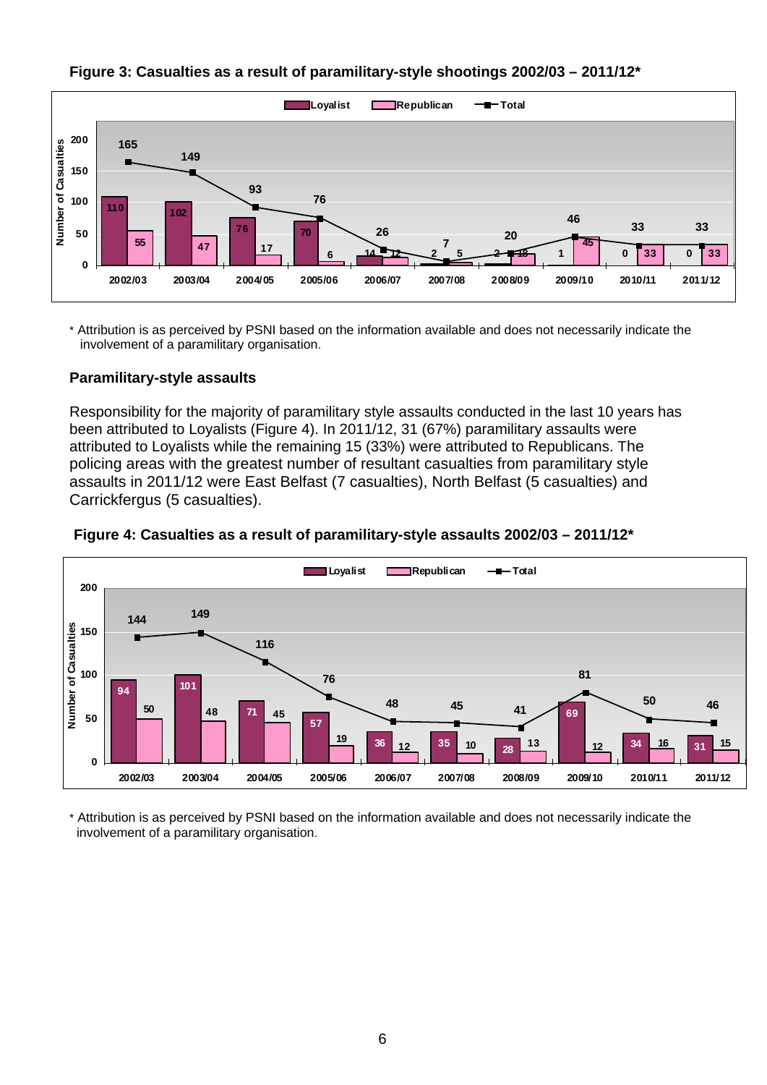

**Figure 3: Casualties as a result of paramilitary-style shootings 2002/03 – 2011/12\*** 

\* Attribution is as perceived by PSNI based on the information available and does not necessarily indicate the involvement of a paramilitary organisation.

## **Paramilitary-style assaults**

Responsibility for the majority of paramilitary style assaults conducted in the last 10 years has been attributed to Loyalists (Figure 4). In 2011/12, 31 (67%) paramilitary assaults were attributed to Loyalists while the remaining 15 (33%) were attributed to Republicans. The policing areas with the greatest number of resultant casualties from paramilitary style assaults in 2011/12 were East Belfast (7 casualties), North Belfast (5 casualties) and Carrickfergus (5 casualties).



#### **Figure 4: Casualties as a result of paramilitary-style assaults 2002/03 – 2011/12\***

\* Attribution is as perceived by PSNI based on the information available and does not necessarily indicate the involvement of a paramilitary organisation.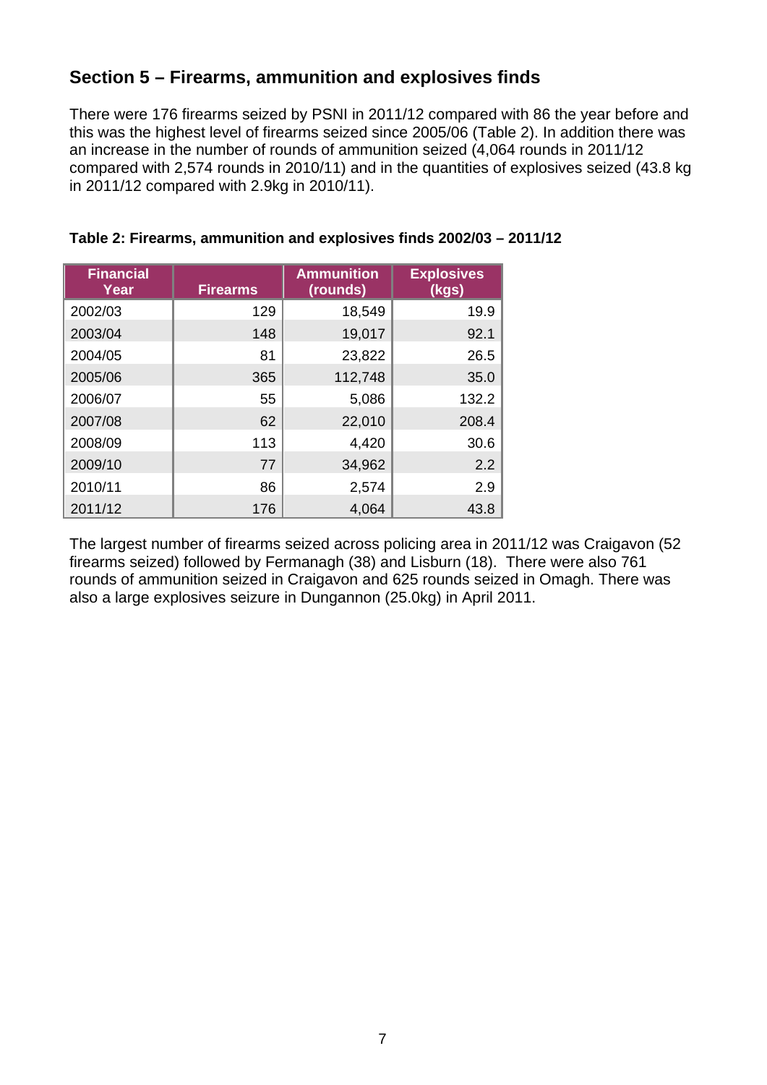## **Section 5 – Firearms, ammunition and explosives finds**

There were 176 firearms seized by PSNI in 2011/12 compared with 86 the year before and this was the highest level of firearms seized since 2005/06 (Table 2). In addition there was an increase in the number of rounds of ammunition seized (4,064 rounds in 2011/12 compared with 2,574 rounds in 2010/11) and in the quantities of explosives seized (43.8 kg in 2011/12 compared with 2.9kg in 2010/11).

| <b>Financial</b><br>Year | <b>Firearms</b> | <b>Ammunition</b><br>(rounds) | <b>Explosives</b><br>(kgs) |
|--------------------------|-----------------|-------------------------------|----------------------------|
| 2002/03                  | 129             | 18,549                        | 19.9                       |
| 2003/04                  | 148             | 19,017                        | 92.1                       |
| 2004/05                  | 81              | 23,822                        | 26.5                       |
| 2005/06                  | 365             | 112,748                       | 35.0                       |
| 2006/07                  | 55              | 5,086                         | 132.2                      |
| 2007/08                  | 62              | 22,010                        | 208.4                      |
| 2008/09                  | 113             | 4,420                         | 30.6                       |
| 2009/10                  | 77              | 34,962                        | 2.2                        |
| 2010/11                  | 86              | 2,574                         | 2.9                        |
| 2011/12                  | 176             | 4,064                         | 43.8                       |

## **Table 2: Firearms, ammunition and explosives finds 2002/03 – 2011/12**

The largest number of firearms seized across policing area in 2011/12 was Craigavon (52 firearms seized) followed by Fermanagh (38) and Lisburn (18). There were also 761 rounds of ammunition seized in Craigavon and 625 rounds seized in Omagh. There was also a large explosives seizure in Dungannon (25.0kg) in April 2011.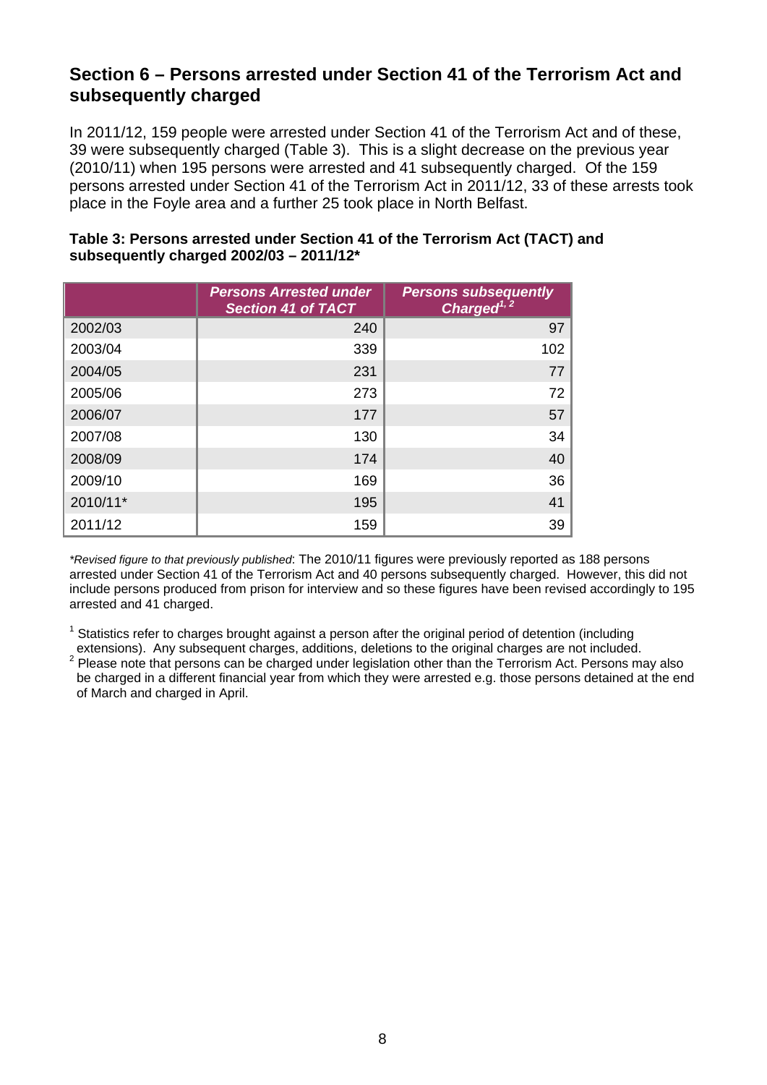## **Section 6 – Persons arrested under Section 41 of the Terrorism Act and subsequently charged**

In 2011/12, 159 people were arrested under Section 41 of the Terrorism Act and of these, 39 were subsequently charged (Table 3). This is a slight decrease on the previous year (2010/11) when 195 persons were arrested and 41 subsequently charged. Of the 159 persons arrested under Section 41 of the Terrorism Act in 2011/12, 33 of these arrests took place in the Foyle area and a further 25 took place in North Belfast.

|          | <b>Persons Arrested under</b><br><b>Section 41 of TACT</b> | <b>Persons subsequently</b><br>Charged $^{1,2}$ |
|----------|------------------------------------------------------------|-------------------------------------------------|
| 2002/03  | 240                                                        | 97                                              |
| 2003/04  | 339                                                        | 102                                             |
| 2004/05  | 231                                                        | 77                                              |
| 2005/06  | 273                                                        | 72                                              |
| 2006/07  | 177                                                        | 57                                              |
| 2007/08  | 130                                                        | 34                                              |
| 2008/09  | 174                                                        | 40                                              |
| 2009/10  | 169                                                        | 36                                              |
| 2010/11* | 195                                                        | 41                                              |
| 2011/12  | 159                                                        | 39                                              |

## **Table 3: Persons arrested under Section 41 of the Terrorism Act (TACT) and subsequently charged 2002/03 – 2011/12\***

*\*Revised figure to that previously published*: The 2010/11 figures were previously reported as 188 persons arrested under Section 41 of the Terrorism Act and 40 persons subsequently charged. However, this did not include persons produced from prison for interview and so these figures have been revised accordingly to 195 arrested and 41 charged.

 $1$  Statistics refer to charges brought against a person after the original period of detention (including extensions). Any subsequent charges, additions, deletions to the original charges are not included. 2

Please note that persons can be charged under legislation other than the Terrorism Act. Persons may also be charged in a different financial year from which they were arrested e.g. those persons detained at the end of March and charged in April.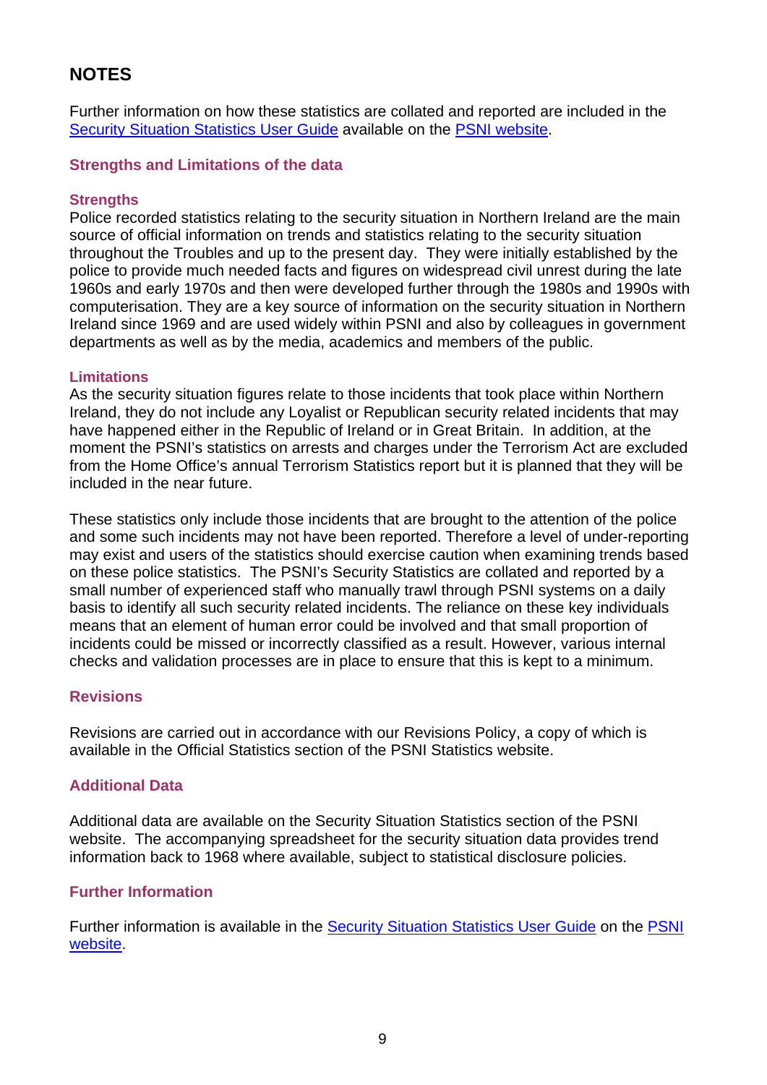## **NOTES**

Further information on how these statistics are collated and reported are included in the Security Situation Statistics User Guide available on the PSNI website.

## **Strengths and Limitations of the data**

## **Strengths**

Police recorded statistics relating to the security situation in Northern Ireland are the main source of official information on trends and statistics relating to the security situation throughout the Troubles and up to the present day. They were initially established by the police to provide much needed facts and figures on widespread civil unrest during the late 1960s and early 1970s and then were developed further through the 1980s and 1990s with computerisation. They are a key source of information on the security situation in Northern Ireland since 1969 and are used widely within PSNI and also by colleagues in government departments as well as by the media, academics and members of the public.

## **Limitations**

As the security situation figures relate to those incidents that took place within Northern Ireland, they do not include any Loyalist or Republican security related incidents that may have happened either in the Republic of Ireland or in Great Britain. In addition, at the moment the PSNI's statistics on arrests and charges under the Terrorism Act are excluded from the Home Office's annual Terrorism Statistics report but it is planned that they will be included in the near future.

These statistics only include those incidents that are brought to the attention of the police and some such incidents may not have been reported. Therefore a level of under-reporting may exist and users of the statistics should exercise caution when examining trends based on these police statistics. The PSNI's Security Statistics are collated and reported by a small number of experienced staff who manually trawl through PSNI systems on a daily basis to identify all such security related incidents. The reliance on these key individuals means that an element of human error could be involved and that small proportion of incidents could be missed or incorrectly classified as a result. However, various internal checks and validation processes are in place to ensure that this is kept to a minimum.

#### **Revisions**

Revisions are carried out in accordance with our Revisions Policy, a copy of which is available in the Official Statistics section of the PSNI Statistics website.

## **Additional Data**

Additional data are available on the Security Situation Statistics section of the PSNI website. The accompanying spreadsheet for the security situation data provides trend information back to 1968 where available, subject to statistical disclosure policies.

## **Further Information**

Further information is available in the **Security Situation Statistics User Guide** on the **PSNI** website.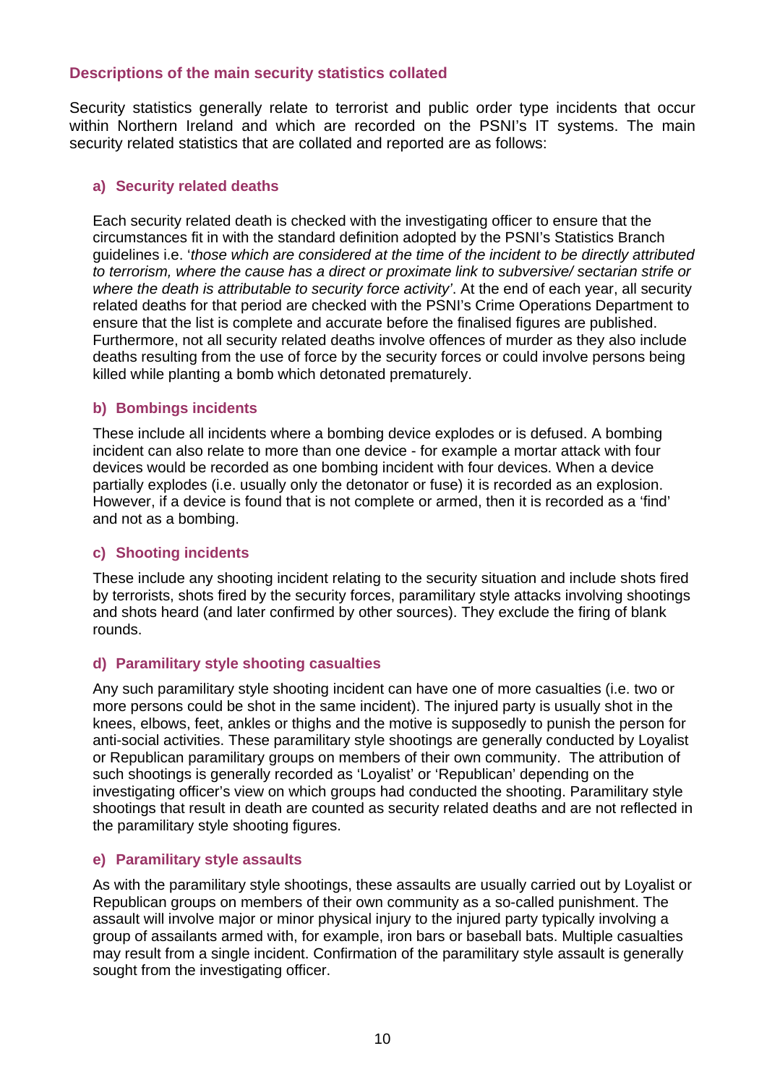## **Descriptions of the main security statistics collated**

Security statistics generally relate to terrorist and public order type incidents that occur within Northern Ireland and which are recorded on the PSNI's IT systems. The main security related statistics that are collated and reported are as follows:

## **a) Security related deaths**

Each security related death is checked with the investigating officer to ensure that the circumstances fit in with the standard definition adopted by the PSNI's Statistics Branch guidelines i.e. '*those which are considered at the time of the incident to be directly attributed to terrorism, where the cause has a direct or proximate link to subversive/ sectarian strife or where the death is attributable to security force activity'*. At the end of each year, all security related deaths for that period are checked with the PSNI's Crime Operations Department to ensure that the list is complete and accurate before the finalised figures are published. Furthermore, not all security related deaths involve offences of murder as they also include deaths resulting from the use of force by the security forces or could involve persons being killed while planting a bomb which detonated prematurely.

## **b) Bombings incidents**

These include all incidents where a bombing device explodes or is defused. A bombing incident can also relate to more than one device - for example a mortar attack with four devices would be recorded as one bombing incident with four devices. When a device partially explodes (i.e. usually only the detonator or fuse) it is recorded as an explosion. However, if a device is found that is not complete or armed, then it is recorded as a 'find' and not as a bombing.

## **c) Shooting incidents**

These include any shooting incident relating to the security situation and include shots fired by terrorists, shots fired by the security forces, paramilitary style attacks involving shootings and shots heard (and later confirmed by other sources). They exclude the firing of blank rounds.

## **d) Paramilitary style shooting casualties**

Any such paramilitary style shooting incident can have one of more casualties (i.e. two or more persons could be shot in the same incident). The injured party is usually shot in the knees, elbows, feet, ankles or thighs and the motive is supposedly to punish the person for anti-social activities. These paramilitary style shootings are generally conducted by Loyalist or Republican paramilitary groups on members of their own community. The attribution of such shootings is generally recorded as 'Loyalist' or 'Republican' depending on the investigating officer's view on which groups had conducted the shooting. Paramilitary style shootings that result in death are counted as security related deaths and are not reflected in the paramilitary style shooting figures.

## **e) Paramilitary style assaults**

As with the paramilitary style shootings, these assaults are usually carried out by Loyalist or Republican groups on members of their own community as a so-called punishment. The assault will involve major or minor physical injury to the injured party typically involving a group of assailants armed with, for example, iron bars or baseball bats. Multiple casualties may result from a single incident. Confirmation of the paramilitary style assault is generally sought from the investigating officer.